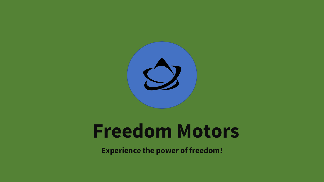

# **Freedom Motors**

**Experience the power of freedom!**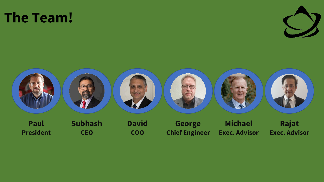#### **The Team!**





**President**

**CEO**

**COO**

**Chief Engineer**

**Exec. Advisor**

**Exec. Advisor**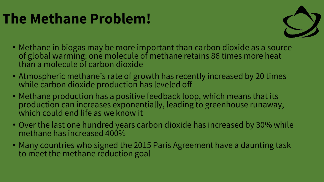### **The Methane Problem!**



- Methane in biogas may be more important than carbon dioxide as a source of global warming: one molecule of methane retains 86 times more heat than a molecule of carbon dioxide
- Atmospheric methane's rate of growth has recently increased by 20 times while carbon dioxide production has leveled off
- Methane production has a positive feedback loop, which means that its production can increases exponentially, leading to greenhouse runaway, which could end life as we know it
- Over the last one hundred years carbon dioxide has increased by 30% while methane has increased 400%
- Many countries who signed the 2015 Paris Agreement have a daunting task to meet the methane reduction goal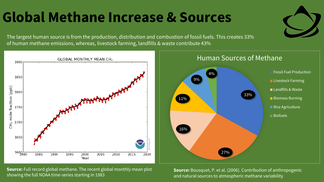## **Global Methane Increase & Sources**

The largest human source is from the production, distribution and combustion of fossil fuels. This creates 33% of human methane emissions, whereas, livestock farming, landfills & waste contribute 43%



**Source:** Full record global methane. The recent global monthly mean plot showing the full NOAA time-series starting in 1983

**Source:** Bousquet, P. et al. (2006). Contribution of anthropogenic and natural sources to atmospheric methane variability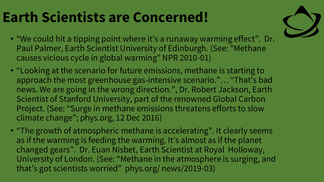## **Earth Scientists are Concerned!**



- "We could hit a tipping point where it's a runaway warming effect". Dr. Paul Palmer, Earth Scientist University of Edinburgh. (See: "Methane causes vicious cycle in global warming" NPR 2010-01)
- "Looking at the scenario for future emissions, methane is starting to approach the most greenhouse gas-intensive scenario."… "That's bad news. We are going in the wrong direction.", Dr. Robert Jackson, Earth Scientist of Stanford University, part of the renowned Global Carbon Project. (See: "Surge in methane emissions threatens efforts to slow climate change"; phys.org, 12 Dec 2016)
- "The growth of atmospheric methane is accelerating". It clearly seems as if the warming is feeding the warming. It's almost as if the planet changed gears". Dr. Euan Nisbet, Earth Scientist at Royal Holloway, University of London. (See: "Methane in the atmosphere is surging, and that's got scientists worried" phys.org/ news/2019-03)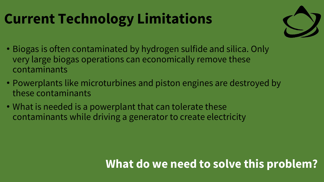## **Current Technology Limitations**



- Biogas is often contaminated by hydrogen sulfide and silica. Only very large biogas operations can economically remove these contaminants
- Powerplants like microturbines and piston engines are destroyed by these contaminants
- What is needed is a powerplant that can tolerate these contaminants while driving a generator to create electricity

#### **What do we need to solve this problem?**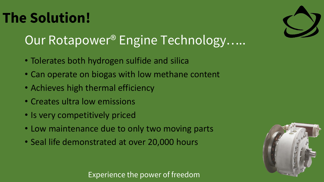Experience the power of freedom

## **The Solution!**

#### Our Rotapower® Engine Technology......

- Tolerates both hydrogen sulfide and silica
- Can operate on biogas with low methane content
- Achieves high thermal efficiency
- Creates ultra low emissions
- Is very competitively priced
- Low maintenance due to only two moving parts
- Seal life demonstrated at over 20,000 hours



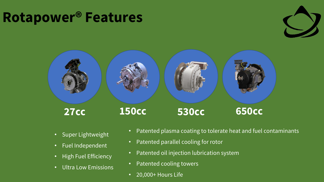#### **Rotapower® Features**





- Super Lightweight
- Fuel Independent
- High Fuel Efficiency
- Ultra Low Emissions
- Patented plasma coating to tolerate heat and fuel contaminants
- Patented parallel cooling for rotor
- Patented oil injection lubrication system
- Patented cooling towers
- 20,000+ Hours Life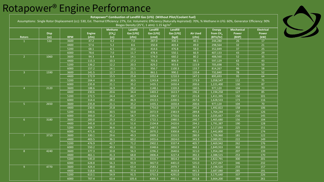#### Rotapower® Engine Performance

| <b>Rotors</b>  | <b>Disp</b><br>(cc) | <b>RPM</b> | <b>Engine</b><br>(cfm) | <b>Methane</b><br>[CH <sub>4</sub> ]<br>(cc) | Landfill<br>Gas [LFG]<br>(cfm) | Landfill<br>Gas [LFG]<br>(cmd) | Landfill<br>Gas [LFG]<br>(kgd) | <b>Air Used</b><br>(cfm) | <b>Energy</b><br>from CH <sub>4</sub><br>(BTU/hr) | <b>Mechanical</b><br><b>Power</b><br>(BHP) | <b>Electrical</b><br>Power<br>(kW) |
|----------------|---------------------|------------|------------------------|----------------------------------------------|--------------------------------|--------------------------------|--------------------------------|--------------------------|---------------------------------------------------|--------------------------------------------|------------------------------------|
| $\mathbf{1}$   | 530                 | 3600       | 47.2                   | 4.2                                          | 7.0                            | 287.0                          | 330.1                          | 40.1                     | 244,280                                           | 26                                         | 17                                 |
|                |                     | 4400       | 57.6                   | $5.2$                                        | $8.6\,$                        | 350.8                          | 403.4                          | 49.0                     | 298,564                                           | 32                                         | 21                                 |
|                |                     | 5200       | 68.1                   | 6.1                                          | 10.2                           | 414.6                          | 476.8                          | 58.0                     | 352,849                                           | 37                                         | $\overline{25}$                    |
|                |                     | 6000       | 78.6                   | $7.0$                                        | 11.7                           | 478.4                          | 550.1                          | 66.9                     | 407,133                                           | 43                                         | 29                                 |
| 2 <sup>1</sup> | 1060                | 3600       | 94.3                   | 8.4                                          | 14.1                           | 574.0                          | 660.2                          | 80.2                     | 488,560                                           | 52                                         | $\overline{35}$                    |
|                |                     | 4400       | 115.3                  | 10.3                                         | 17.2                           | 701.6                          | 806.9                          | 98.1                     | 597,129                                           | 63                                         | 43                                 |
|                |                     | 5200       | 136.2                  | 12.2                                         | 20.3                           | 829.2                          | 953.6                          | 115.9                    | 705,698                                           | 75                                         | $\overline{50}$                    |
|                |                     | 6000       | 157.2                  | 14.1                                         | 23.5                           | 956.7                          | 1100.3                         | 133.7                    | 814,267                                           | 86                                         | $\overline{58}$                    |
| $\mathbf{3}$   | 1590                | 3600       | 141.5                  | 12.7                                         | 21.1                           | 861.1                          | 990.2                          | 120.4                    | 732,840                                           | 78                                         | $\overline{52}$                    |
|                |                     | 4400       | 172.9                  | 15.5                                         | 25.8                           | 1052.4                         | 1210.3                         | 147.1                    | 895,693                                           | 95                                         | 64                                 |
|                |                     | 5200       | 204.4                  | 18.3                                         | 30.5                           | 1243.8                         | 1430.3                         | 173.9                    | 1,058,547                                         | 112                                        | 75                                 |
|                |                     | 6000       | 235.8                  | 21.1                                         | 35.2                           | 1435.1                         | 1650.4                         | 200.6                    | 1,221,400                                         | 130                                        | 87                                 |
| 4 <sup>1</sup> | 2120                | 3600       | 188.6                  | 16.9                                         | 28.2                           | 1148.1                         | 1320.3                         | 160.5                    | 977,120                                           | 104                                        | $\overline{70}$                    |
|                |                     | 4400       | 230.6                  | 20.6                                         | 34.4                           | 1403.2                         | 1613.7                         | 196.2                    | 1,194,258                                         | 127                                        | 85                                 |
|                |                     | 5200       | 272.5                  | 24.4                                         | 40.7                           | 1658.4                         | 1907.1                         | 231.8                    | 1,411,395                                         | 150                                        | $\overline{101}$                   |
|                |                     | 6000       | 314.4                  | 28.2                                         | 46.9                           | 1913.5                         | 2200.5                         | 267.6                    | 1,628,533                                         | 173                                        | 116                                |
| 5 <sub>1</sub> | 2650                | 3600       | 235.8                  | 21.1                                         | 35.2                           | 1435.1                         | 1650.4                         | 200.6                    | 977,120                                           | 104                                        | 70                                 |
|                |                     | 4400       | 230.6                  | 25.8                                         | 43.0                           | 1754.0                         | 2017.1                         | 245.2                    | 1,492,822                                         | 158                                        | 106                                |
|                |                     | 5200       | 340.6                  | 30.5                                         | 50.8                           | 2072.9                         | 2383.9                         | 289.8                    | 1,764,244                                         | 187                                        | 126                                |
|                |                     | 6000       | 393.0                  | 35.2                                         | 58.7                           | 2391.9                         | 2750.6                         | 334.4                    | 2,035,667                                         | 216                                        | 145                                |
| 6 <sup>1</sup> | 3180                | 3600       | 283.0                  | 25.3                                         | 42.2                           | 1722.1                         | 1980.5                         | 240.7                    | 1,465,680                                         | 156                                        | 104                                |
|                |                     | 4400       | 345.8                  | 31.0                                         | 51.6                           | 2104.8                         | 2420.6                         | 294.2                    | 1,791,387                                         | 190                                        | 128                                |
|                |                     | 5200       | 408.7                  | 36.6                                         | 61.0                           | 2487.5                         | 2860.7                         | 347.7                    | 2,117,093                                         | 225                                        | 151                                |
|                |                     | 6000       | 471.6                  | 42.2                                         | 70.4                           | 2870.2                         | 3300.8                         | 401.2                    | 2,442,800                                         | 259                                        | 174                                |
| 7 <sup>2</sup> | 3710                | 3600       | 330.1                  | 29.6                                         | 49.3                           | 2009.2                         | 2310.5                         | 280.9                    | 1,709,960                                         | 181                                        | 122                                |
|                |                     | 4400       | 403.5                  | 36.1                                         | 60.2                           | 2455.6                         | 2824.0                         | 343.3                    | 2,089,951                                         | 222                                        | 149                                |
|                |                     | 5200       | 476.9                  | 42.7                                         | 71.2                           | 2902.1                         | 3337.4                         | 405.7                    | 2,469,942                                         | 262                                        | 176                                |
|                |                     | 6000       | 550.2                  | 49.3                                         | 82.1                           | 3348.6                         | 3850.9                         | 468.1                    | 2,849,933                                         | 302                                        | 203                                |
| 8 <sup>°</sup> | 4240                | 3600       | 377.3                  | 33.8                                         | 56.3                           | 2296.2                         | 2640.6                         | 321.0                    | 1,954,240                                         | 207                                        | 139                                |
|                |                     | 4400       | 461.1                  | 41.3                                         | 68.8                           | 2806.4                         | 3227.4                         | 392.3                    | 2,388,515                                         | 253                                        | 170                                |
|                |                     | 5200       | 545.0                  | 48.8                                         | 81.3                           | 3316.7                         | 3814.2                         | 463.6                    | 2,822,791                                         | 300                                        | 201                                |
|                |                     | 6000       | 628.8                  | 56.3                                         | 93.9                           | 3827.0                         | 4401.0                         | 535.0                    | 3,257,067                                         | 346                                        | $\overline{232}$                   |
| $9\,$          | 4770                | 3600       | 424.4                  | 38.0                                         | 63.4                           | 2583.2                         | 2970.7                         | 361.1                    | 2,198,520                                         | 233                                        | 157                                |
|                |                     | 4400       | 518.8                  | 46.5                                         | 77.4                           | 3157.2                         | 3630.8                         | 441.3                    | 2,687,080                                         | 285                                        | 191                                |
|                |                     | 5200       | 613.1                  | 54.9                                         | 91.5                           | 3731.3                         | 4291.0                         | 521.6                    | 3,175,640                                         | 337                                        | 226                                |
|                |                     | 6000       | 707.4                  | 63.4                                         | 105.6                          | 4305.3                         | 4951.1                         | 601.8                    | 3,664,200                                         | 389                                        | 261                                |

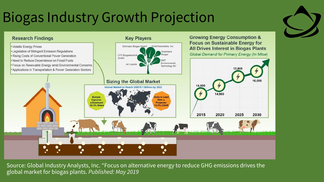### Biogas Industry Growth Projection



Source: Global Industry Analysts, Inc. "Focus on alternative energy to reduce GHG emissions drives the global market for biogas plants. *Published: May 2019*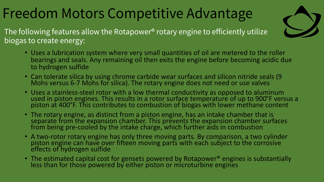### Freedom Motors Competitive Advantage



The following features allow the Rotapower® rotary engine to efficiently utilize biogas to create energy:

- Uses a lubrication system where very small quantities of oil are metered to the roller bearings and seals. Any remaining oil then exits the engine before becoming acidic due to hydrogen sulfide
- Can tolerate silica by using chrome carbide wear surfaces and silicon nitride seals (9 Mohs versus 6-7 Mohs for silica). The rotary engine does not need or use valves
- Uses a stainless-steel rotor with a low thermal conductivity as opposed to aluminum used in piston engines. This results in a rotor surface temperature of up to 900°F versus a piston at 400°F. This contributes to combustion of biogas with lower methane content
- The rotary engine, as distinct from a piston engine, has an intake chamber that is separate from the expansion chamber. This prevents the expansion chamber surfaces from being pre-cooled by the intake charge, which further aids in combustion
- A two-rotor rotary engine has only three moving parts. By comparison, a two cylinder piston engine can have over fifteen moving parts with each subject to the corrosive effects of hydrogen sulfide
- The estimated capital cost for gensets powered by Rotapower<sup>®</sup> engines is substantially less than for those powered by either piston or microturbine engines